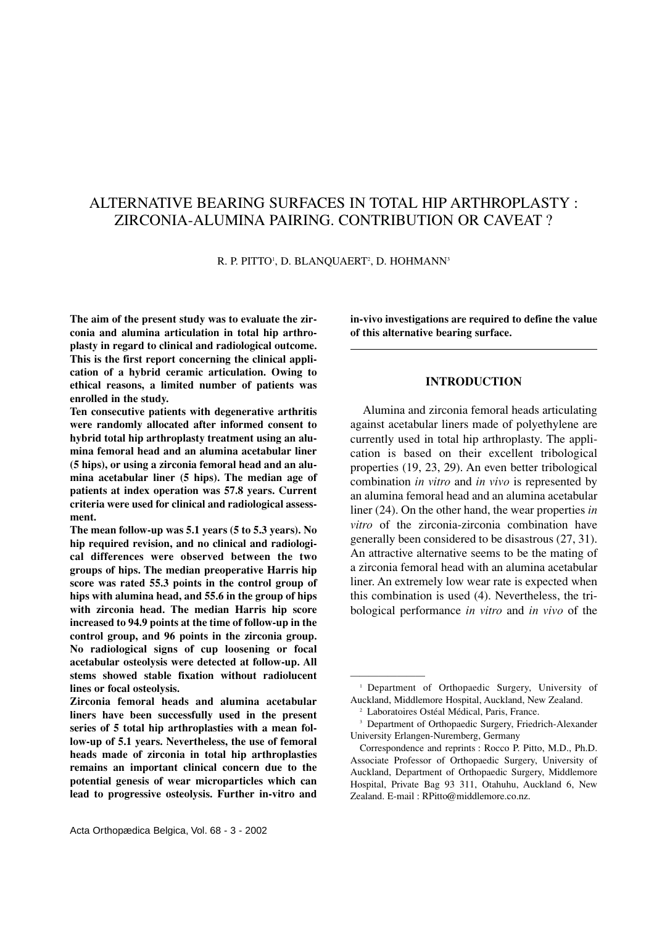# ALTERNATIVE BEARING SURFACES IN TOTAL HIP ARTHROPLASTY : ZIRCONIA-ALUMINA PAIRING. CONTRIBUTION OR CAVEAT ?

R. P. PITTO', D. BLANQUAERT<sup>2</sup>, D. HOHMANN<sup>3</sup>

**The aim of the present study was to evaluate the zirconia and alumina articulation in total hip arthroplasty in regard to clinical and radiological outcome. This is the first report concerning the clinical application of a hybrid ceramic articulation. Owing to ethical reasons, a limited number of patients was enrolled in the study.**

**Ten consecutive patients with degenerative arthritis were randomly allocated after informed consent to hybrid total hip arthroplasty treatment using an alumina femoral head and an alumina acetabular liner (5 hips), or using a zirconia femoral head and an alumina acetabular liner (5 hips). The median age of patients at index operation was 57.8 years. Current criteria were used for clinical and radiological assessment.** 

**The mean follow-up was 5.1 years (5 to 5.3 years). No hip required revision, and no clinical and radiological differences were observed between the two groups of hips. The median preoperative Harris hip score was rated 55.3 points in the control group of hips with alumina head, and 55.6 in the group of hips with zirconia head. The median Harris hip score increased to 94.9 points at the time of follow-up in the control group, and 96 points in the zirconia group. No radiological signs of cup loosening or focal acetabular osteolysis were detected at follow-up. All stems showed stable fixation without radiolucent lines or focal osteolysis.** 

**Zirconia femoral heads and alumina acetabular liners have been successfully used in the present series of 5 total hip arthroplasties with a mean follow-up of 5.1 years. Nevertheless, the use of femoral heads made of zirconia in total hip arthroplasties remains an important clinical concern due to the potential genesis of wear microparticles which can lead to progressive osteolysis. Further in-vitro and** **in-vivo investigations are required to define the value of this alternative bearing surface.**

# **INTRODUCTION**

Alumina and zirconia femoral heads articulating against acetabular liners made of polyethylene are currently used in total hip arthroplasty. The application is based on their excellent tribological properties (19, 23, 29). An even better tribological combination *in vitro* and *in vivo* is represented by an alumina femoral head and an alumina acetabular liner (24). On the other hand, the wear properties *in vitro* of the zirconia-zirconia combination have generally been considered to be disastrous (27, 31). An attractive alternative seems to be the mating of a zirconia femoral head with an alumina acetabular liner. An extremely low wear rate is expected when this combination is used (4). Nevertheless, the tribological performance *in vitro* and *in vivo* of the

————————

<sup>&</sup>lt;sup>1</sup> Department of Orthopaedic Surgery, University of Auckland, Middlemore Hospital, Auckland, New Zealand.

<sup>2</sup> Laboratoires Ostéal Médical, Paris, France.

<sup>&</sup>lt;sup>3</sup> Department of Orthopaedic Surgery, Friedrich-Alexander University Erlangen-Nuremberg, Germany

Correspondence and reprints : Rocco P. Pitto, M.D., Ph.D. Associate Professor of Orthopaedic Surgery, University of Auckland, Department of Orthopaedic Surgery, Middlemore Hospital, Private Bag 93 311, Otahuhu, Auckland 6, New Zealand. E-mail : RPitto@middlemore.co.nz.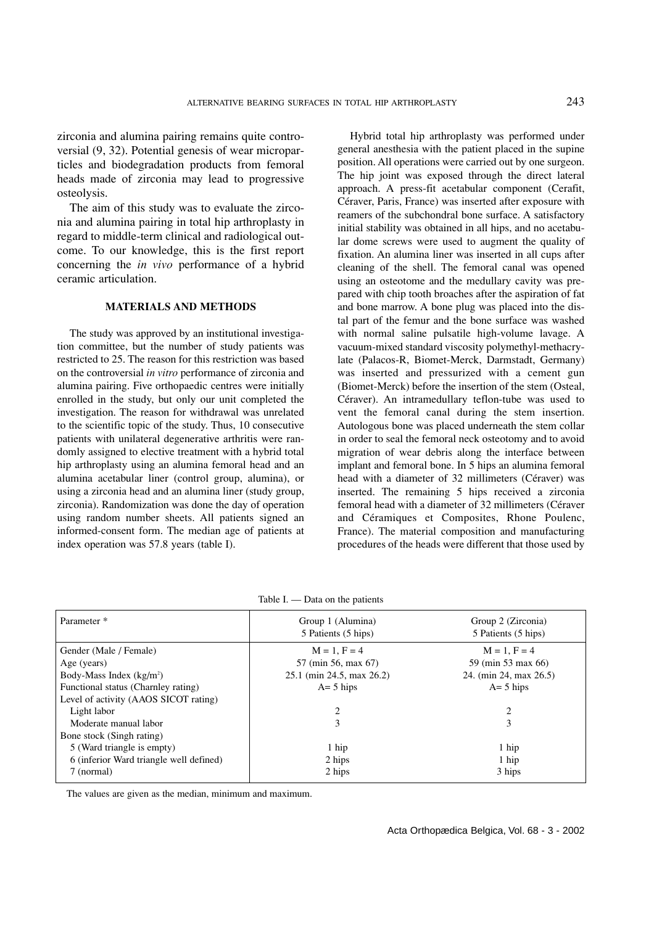zirconia and alumina pairing remains quite controversial (9, 32). Potential genesis of wear microparticles and biodegradation products from femoral heads made of zirconia may lead to progressive osteolysis.

The aim of this study was to evaluate the zirconia and alumina pairing in total hip arthroplasty in regard to middle-term clinical and radiological outcome. To our knowledge, this is the first report concerning the *in vivo* performance of a hybrid ceramic articulation.

#### **MATERIALS AND METHODS**

The study was approved by an institutional investigation committee, but the number of study patients was restricted to 25. The reason for this restriction was based on the controversial *in vitro* performance of zirconia and alumina pairing. Five orthopaedic centres were initially enrolled in the study, but only our unit completed the investigation. The reason for withdrawal was unrelated to the scientific topic of the study. Thus, 10 consecutive patients with unilateral degenerative arthritis were randomly assigned to elective treatment with a hybrid total hip arthroplasty using an alumina femoral head and an alumina acetabular liner (control group, alumina), or using a zirconia head and an alumina liner (study group, zirconia). Randomization was done the day of operation using random number sheets. All patients signed an informed-consent form. The median age of patients at index operation was 57.8 years (table I).

Hybrid total hip arthroplasty was performed under general anesthesia with the patient placed in the supine position. All operations were carried out by one surgeon. The hip joint was exposed through the direct lateral approach. A press-fit acetabular component (Cerafit, Céraver, Paris, France) was inserted after exposure with reamers of the subchondral bone surface. A satisfactory initial stability was obtained in all hips, and no acetabular dome screws were used to augment the quality of fixation. An alumina liner was inserted in all cups after cleaning of the shell. The femoral canal was opened using an osteotome and the medullary cavity was prepared with chip tooth broaches after the aspiration of fat and bone marrow. A bone plug was placed into the distal part of the femur and the bone surface was washed with normal saline pulsatile high-volume lavage. A vacuum-mixed standard viscosity polymethyl-methacrylate (Palacos-R, Biomet-Merck, Darmstadt, Germany) was inserted and pressurized with a cement gun (Biomet-Merck) before the insertion of the stem (Osteal, Céraver). An intramedullary teflon-tube was used to vent the femoral canal during the stem insertion. Autologous bone was placed underneath the stem collar in order to seal the femoral neck osteotomy and to avoid migration of wear debris along the interface between implant and femoral bone. In 5 hips an alumina femoral head with a diameter of 32 millimeters (Céraver) was inserted. The remaining 5 hips received a zirconia femoral head with a diameter of 32 millimeters (Céraver and Céramiques et Composites, Rhone Poulenc, France). The material composition and manufacturing procedures of the heads were different that those used by

| Parameter *                             | Group 1 (Alumina)<br>5 Patients (5 hips) | Group 2 (Zirconia)<br>5 Patients (5 hips) |
|-----------------------------------------|------------------------------------------|-------------------------------------------|
| Gender (Male / Female)                  | $M = 1, F = 4$                           | $M = 1$ , $F = 4$                         |
| Age (years)                             | 57 (min 56, max 67)                      | 59 (min 53 max 66)                        |
| Body-Mass Index $(kg/m2)$               | 25.1 (min 24.5, max 26.2)                | 24. (min 24, max 26.5)                    |
| Functional status (Charnley rating)     | $A = 5$ hips                             | $A = 5$ hips                              |
| Level of activity (AAOS SICOT rating)   |                                          |                                           |
| Light labor                             | 2                                        | 2                                         |
| Moderate manual labor                   | 3                                        | 3                                         |
| Bone stock (Singh rating)               |                                          |                                           |
| 5 (Ward triangle is empty)              | 1 hip                                    | 1 hip                                     |
| 6 (inferior Ward triangle well defined) | 2 hips                                   | 1 hip                                     |
| 7 (normal)                              | 2 hips                                   | 3 hips                                    |

The values are given as the median, minimum and maximum.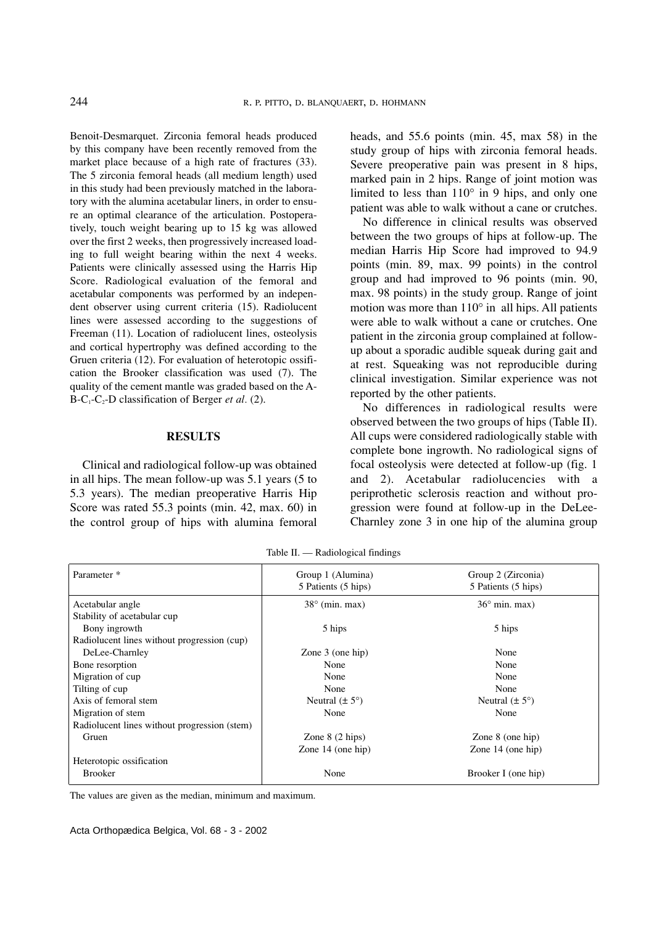Benoit-Desmarquet. Zirconia femoral heads produced by this company have been recently removed from the market place because of a high rate of fractures (33). The 5 zirconia femoral heads (all medium length) used in this study had been previously matched in the laboratory with the alumina acetabular liners, in order to ensure an optimal clearance of the articulation. Postoperatively, touch weight bearing up to 15 kg was allowed over the first 2 weeks, then progressively increased loading to full weight bearing within the next 4 weeks. Patients were clinically assessed using the Harris Hip Score. Radiological evaluation of the femoral and acetabular components was performed by an independent observer using current criteria (15). Radiolucent lines were assessed according to the suggestions of Freeman (11). Location of radiolucent lines, osteolysis and cortical hypertrophy was defined according to the Gruen criteria (12). For evaluation of heterotopic ossification the Brooker classification was used (7). The quality of the cement mantle was graded based on the A- $B-C_1-C_2-D$  classification of Berger *et al.* (2).

### **RESULTS**

Clinical and radiological follow-up was obtained in all hips. The mean follow-up was 5.1 years (5 to 5.3 years). The median preoperative Harris Hip Score was rated 55.3 points (min. 42, max. 60) in the control group of hips with alumina femoral heads, and 55.6 points (min. 45, max 58) in the study group of hips with zirconia femoral heads. Severe preoperative pain was present in 8 hips, marked pain in 2 hips. Range of joint motion was limited to less than 110° in 9 hips, and only one patient was able to walk without a cane or crutches.

No difference in clinical results was observed between the two groups of hips at follow-up. The median Harris Hip Score had improved to 94.9 points (min. 89, max. 99 points) in the control group and had improved to 96 points (min. 90, max. 98 points) in the study group. Range of joint motion was more than 110° in all hips. All patients were able to walk without a cane or crutches. One patient in the zirconia group complained at followup about a sporadic audible squeak during gait and at rest. Squeaking was not reproducible during clinical investigation. Similar experience was not reported by the other patients.

No differences in radiological results were observed between the two groups of hips (Table II). All cups were considered radiologically stable with complete bone ingrowth. No radiological signs of focal osteolysis were detected at follow-up (fig. 1 and 2). Acetabular radiolucencies with a periprothetic sclerosis reaction and without progression were found at follow-up in the DeLee-Charnley zone 3 in one hip of the alumina group

Table II. — Radiological findings

| Parameter *                                  | Group 1 (Alumina)<br>5 Patients (5 hips) | Group 2 (Zirconia)<br>5 Patients (5 hips) |
|----------------------------------------------|------------------------------------------|-------------------------------------------|
| Acetabular angle                             | $38^\circ$ (min. max)                    | $36^{\circ}$ min. max)                    |
| Stability of acetabular cup                  |                                          |                                           |
| Bony ingrowth                                | 5 hips                                   | 5 hips                                    |
| Radiolucent lines without progression (cup)  |                                          |                                           |
| DeLee-Charnley                               | Zone $3$ (one hip)                       | None                                      |
| Bone resorption                              | None                                     | None                                      |
| Migration of cup                             | None                                     | None                                      |
| Tilting of cup                               | None                                     | None                                      |
| Axis of femoral stem                         | Neutral $(\pm 5^{\circ})$                | Neutral $(\pm 5^{\circ})$                 |
| Migration of stem                            | None                                     | None                                      |
| Radiolucent lines without progression (stem) |                                          |                                           |
| Gruen                                        | Zone $8(2 \text{hips})$                  | Zone $8$ (one hip)                        |
|                                              | Zone 14 (one hip)                        | Zone $14$ (one hip)                       |
| Heterotopic ossification                     |                                          |                                           |
| <b>Brooker</b>                               | None                                     | Brooker I (one hip)                       |

The values are given as the median, minimum and maximum.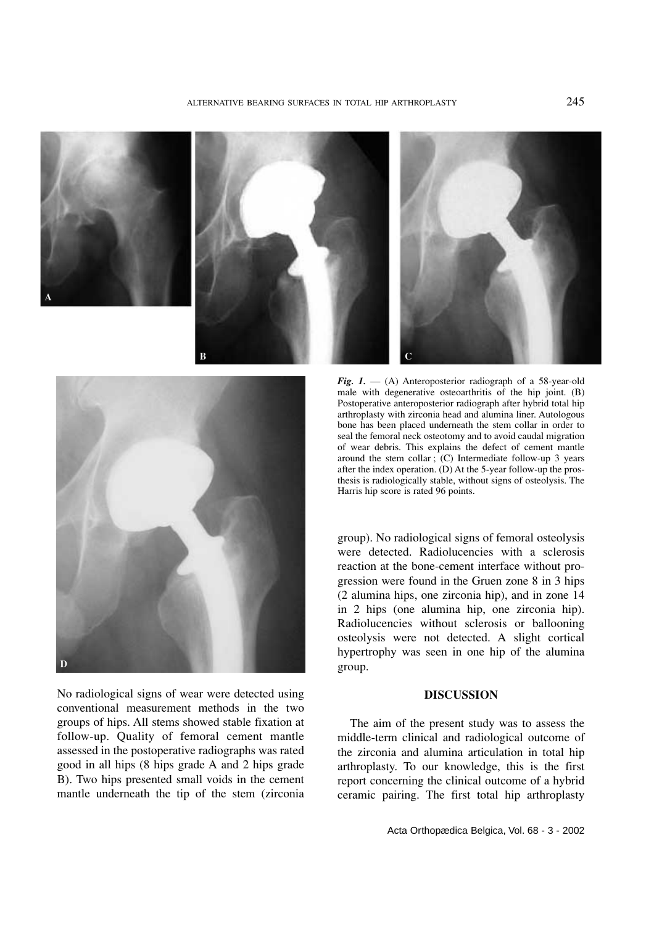







No radiological signs of wear were detected using conventional measurement methods in the two groups of hips. All stems showed stable fixation at follow-up. Quality of femoral cement mantle assessed in the postoperative radiographs was rated good in all hips (8 hips grade A and 2 hips grade B). Two hips presented small voids in the cement mantle underneath the tip of the stem (zirconia

*Fig. 1.* — (A) Anteroposterior radiograph of a 58-year-old male with degenerative osteoarthritis of the hip joint. (B) Postoperative anteroposterior radiograph after hybrid total hip arthroplasty with zirconia head and alumina liner. Autologous bone has been placed underneath the stem collar in order to seal the femoral neck osteotomy and to avoid caudal migration of wear debris. This explains the defect of cement mantle around the stem collar ; (C) Intermediate follow-up 3 years after the index operation. (D) At the 5-year follow-up the prosthesis is radiologically stable, without signs of osteolysis. The Harris hip score is rated 96 points.

group). No radiological signs of femoral osteolysis were detected. Radiolucencies with a sclerosis reaction at the bone-cement interface without progression were found in the Gruen zone 8 in 3 hips (2 alumina hips, one zirconia hip), and in zone 14 in 2 hips (one alumina hip, one zirconia hip). Radiolucencies without sclerosis or ballooning osteolysis were not detected. A slight cortical hypertrophy was seen in one hip of the alumina group.

# **DISCUSSION**

The aim of the present study was to assess the middle-term clinical and radiological outcome of the zirconia and alumina articulation in total hip arthroplasty. To our knowledge, this is the first report concerning the clinical outcome of a hybrid ceramic pairing. The first total hip arthroplasty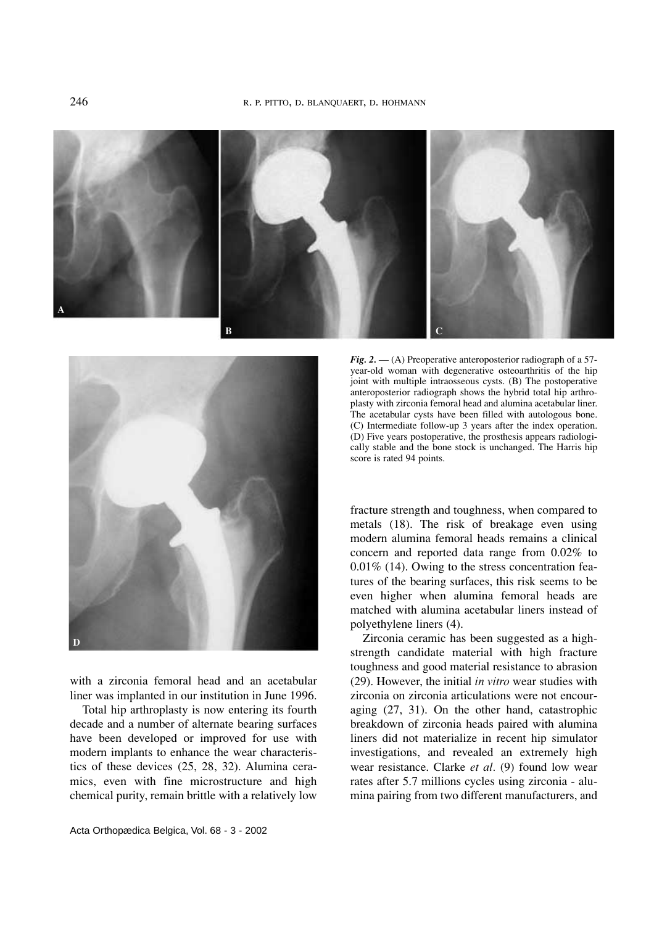



with a zirconia femoral head and an acetabular liner was implanted in our institution in June 1996.

Total hip arthroplasty is now entering its fourth decade and a number of alternate bearing surfaces have been developed or improved for use with modern implants to enhance the wear characteristics of these devices (25, 28, 32). Alumina ceramics, even with fine microstructure and high chemical purity, remain brittle with a relatively low

*Fig. 2.* — (A) Preoperative anteroposterior radiograph of a 57 year-old woman with degenerative osteoarthritis of the hip joint with multiple intraosseous cysts. (B) The postoperative anteroposterior radiograph shows the hybrid total hip arthroplasty with zirconia femoral head and alumina acetabular liner. The acetabular cysts have been filled with autologous bone. (C) Intermediate follow-up 3 years after the index operation. (D) Five years postoperative, the prosthesis appears radiologically stable and the bone stock is unchanged. The Harris hip score is rated 94 points.

fracture strength and toughness, when compared to metals (18). The risk of breakage even using modern alumina femoral heads remains a clinical concern and reported data range from 0.02% to 0.01% (14). Owing to the stress concentration features of the bearing surfaces, this risk seems to be even higher when alumina femoral heads are matched with alumina acetabular liners instead of polyethylene liners (4).

Zirconia ceramic has been suggested as a highstrength candidate material with high fracture toughness and good material resistance to abrasion (29). However, the initial *in vitro* wear studies with zirconia on zirconia articulations were not encouraging (27, 31). On the other hand, catastrophic breakdown of zirconia heads paired with alumina liners did not materialize in recent hip simulator investigations, and revealed an extremely high wear resistance. Clarke *et al.* (9) found low wear rates after 5.7 millions cycles using zirconia - alumina pairing from two different manufacturers, and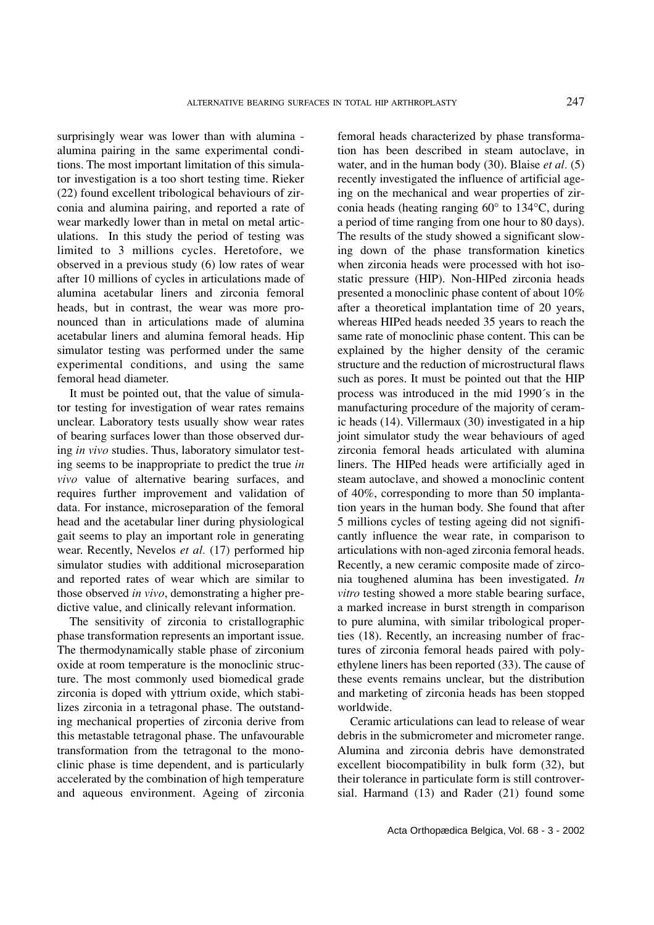surprisingly wear was lower than with alumina alumina pairing in the same experimental conditions. The most important limitation of this simulator investigation is a too short testing time. Rieker (22) found excellent tribological behaviours of zirconia and alumina pairing, and reported a rate of wear markedly lower than in metal on metal articulations. In this study the period of testing was limited to 3 millions cycles. Heretofore, we observed in a previous study (6) low rates of wear after 10 millions of cycles in articulations made of alumina acetabular liners and zirconia femoral heads, but in contrast, the wear was more pronounced than in articulations made of alumina acetabular liners and alumina femoral heads. Hip simulator testing was performed under the same experimental conditions, and using the same femoral head diameter.

It must be pointed out, that the value of simulator testing for investigation of wear rates remains unclear. Laboratory tests usually show wear rates of bearing surfaces lower than those observed during *in vivo* studies. Thus, laboratory simulator testing seems to be inappropriate to predict the true *in vivo* value of alternative bearing surfaces, and requires further improvement and validation of data. For instance, microseparation of the femoral head and the acetabular liner during physiological gait seems to play an important role in generating wear. Recently, Nevelos *et al.* (17) performed hip simulator studies with additional microseparation and reported rates of wear which are similar to those observed *in vivo*, demonstrating a higher predictive value, and clinically relevant information.

The sensitivity of zirconia to cristallographic phase transformation represents an important issue. The thermodynamically stable phase of zirconium oxide at room temperature is the monoclinic structure. The most commonly used biomedical grade zirconia is doped with yttrium oxide, which stabilizes zirconia in a tetragonal phase. The outstanding mechanical properties of zirconia derive from this metastable tetragonal phase. The unfavourable transformation from the tetragonal to the monoclinic phase is time dependent, and is particularly accelerated by the combination of high temperature and aqueous environment. Ageing of zirconia

femoral heads characterized by phase transformation has been described in steam autoclave, in water, and in the human body (30). Blaise *et al.* (5) recently investigated the influence of artificial ageing on the mechanical and wear properties of zirconia heads (heating ranging 60° to 134°C, during a period of time ranging from one hour to 80 days). The results of the study showed a significant slowing down of the phase transformation kinetics when zirconia heads were processed with hot isostatic pressure (HIP). Non-HIPed zirconia heads presented a monoclinic phase content of about 10% after a theoretical implantation time of 20 years, whereas HIPed heads needed 35 years to reach the same rate of monoclinic phase content. This can be explained by the higher density of the ceramic structure and the reduction of microstructural flaws such as pores. It must be pointed out that the HIP process was introduced in the mid 1990´s in the manufacturing procedure of the majority of ceramic heads (14). Villermaux (30) investigated in a hip joint simulator study the wear behaviours of aged zirconia femoral heads articulated with alumina liners. The HIPed heads were artificially aged in steam autoclave, and showed a monoclinic content of 40%, corresponding to more than 50 implantation years in the human body. She found that after 5 millions cycles of testing ageing did not significantly influence the wear rate, in comparison to articulations with non-aged zirconia femoral heads. Recently, a new ceramic composite made of zirconia toughened alumina has been investigated. *In vitro* testing showed a more stable bearing surface, a marked increase in burst strength in comparison to pure alumina, with similar tribological properties (18). Recently, an increasing number of fractures of zirconia femoral heads paired with polyethylene liners has been reported (33). The cause of these events remains unclear, but the distribution and marketing of zirconia heads has been stopped worldwide.

Ceramic articulations can lead to release of wear debris in the submicrometer and micrometer range. Alumina and zirconia debris have demonstrated excellent biocompatibility in bulk form (32), but their tolerance in particulate form is still controversial. Harmand (13) and Rader (21) found some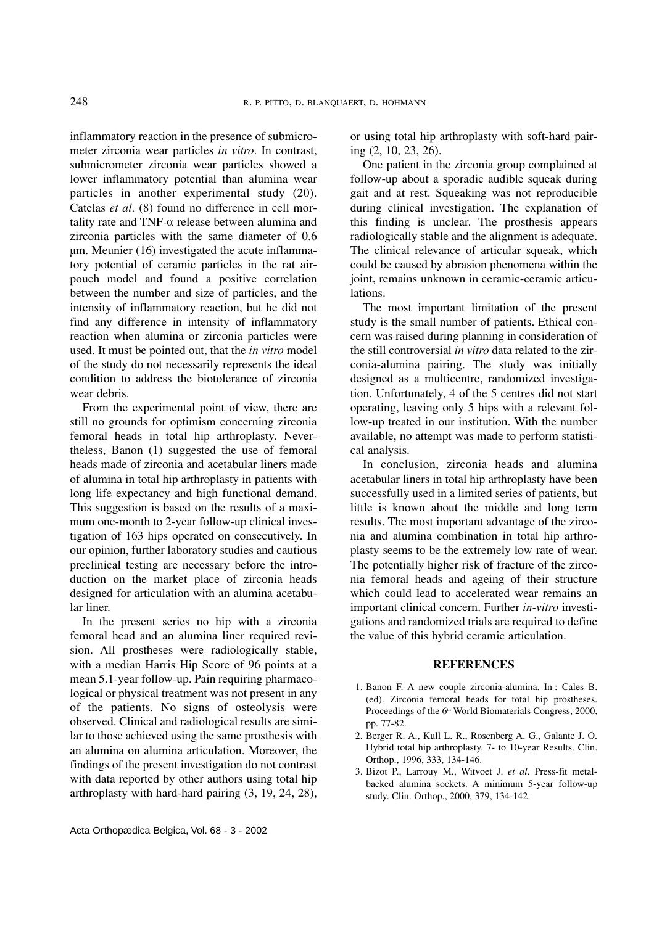inflammatory reaction in the presence of submicrometer zirconia wear particles *in vitro*. In contrast, submicrometer zirconia wear particles showed a lower inflammatory potential than alumina wear particles in another experimental study (20). Catelas *et al.* (8) found no difference in cell mortality rate and TNF- $\alpha$  release between alumina and zirconia particles with the same diameter of 0.6 µm. Meunier (16) investigated the acute inflammatory potential of ceramic particles in the rat airpouch model and found a positive correlation between the number and size of particles, and the intensity of inflammatory reaction, but he did not find any difference in intensity of inflammatory reaction when alumina or zirconia particles were used. It must be pointed out, that the *in vitro* model of the study do not necessarily represents the ideal condition to address the biotolerance of zirconia wear debris.

From the experimental point of view, there are still no grounds for optimism concerning zirconia femoral heads in total hip arthroplasty. Nevertheless, Banon (1) suggested the use of femoral heads made of zirconia and acetabular liners made of alumina in total hip arthroplasty in patients with long life expectancy and high functional demand. This suggestion is based on the results of a maximum one-month to 2-year follow-up clinical investigation of 163 hips operated on consecutively. In our opinion, further laboratory studies and cautious preclinical testing are necessary before the introduction on the market place of zirconia heads designed for articulation with an alumina acetabular liner.

In the present series no hip with a zirconia femoral head and an alumina liner required revision. All prostheses were radiologically stable, with a median Harris Hip Score of 96 points at a mean 5.1-year follow-up. Pain requiring pharmacological or physical treatment was not present in any of the patients. No signs of osteolysis were observed. Clinical and radiological results are similar to those achieved using the same prosthesis with an alumina on alumina articulation. Moreover, the findings of the present investigation do not contrast with data reported by other authors using total hip arthroplasty with hard-hard pairing (3, 19, 24, 28),

Acta Orthopædica Belgica, Vol. 68 - 3 - 2002

or using total hip arthroplasty with soft-hard pairing (2, 10, 23, 26).

One patient in the zirconia group complained at follow-up about a sporadic audible squeak during gait and at rest. Squeaking was not reproducible during clinical investigation. The explanation of this finding is unclear. The prosthesis appears radiologically stable and the alignment is adequate. The clinical relevance of articular squeak, which could be caused by abrasion phenomena within the joint, remains unknown in ceramic-ceramic articulations.

The most important limitation of the present study is the small number of patients. Ethical concern was raised during planning in consideration of the still controversial *in vitro* data related to the zirconia-alumina pairing. The study was initially designed as a multicentre, randomized investigation. Unfortunately, 4 of the 5 centres did not start operating, leaving only 5 hips with a relevant follow-up treated in our institution. With the number available, no attempt was made to perform statistical analysis.

In conclusion, zirconia heads and alumina acetabular liners in total hip arthroplasty have been successfully used in a limited series of patients, but little is known about the middle and long term results. The most important advantage of the zirconia and alumina combination in total hip arthroplasty seems to be the extremely low rate of wear. The potentially higher risk of fracture of the zirconia femoral heads and ageing of their structure which could lead to accelerated wear remains an important clinical concern. Further *in-vitro* investigations and randomized trials are required to define the value of this hybrid ceramic articulation.

#### **REFERENCES**

- 1. Banon F. A new couple zirconia-alumina. In : Cales B. (ed). Zirconia femoral heads for total hip prostheses. Proceedings of the 6<sup>th</sup> World Biomaterials Congress, 2000, pp. 77-82.
- 2. Berger R. A., Kull L. R., Rosenberg A. G., Galante J. O. Hybrid total hip arthroplasty. 7- to 10-year Results. Clin. Orthop., 1996, 333, 134-146.
- 3. Bizot P., Larrouy M., Witvoet J. *et al*. Press-fit metalbacked alumina sockets. A minimum 5-year follow-up study. Clin. Orthop., 2000, 379, 134-142.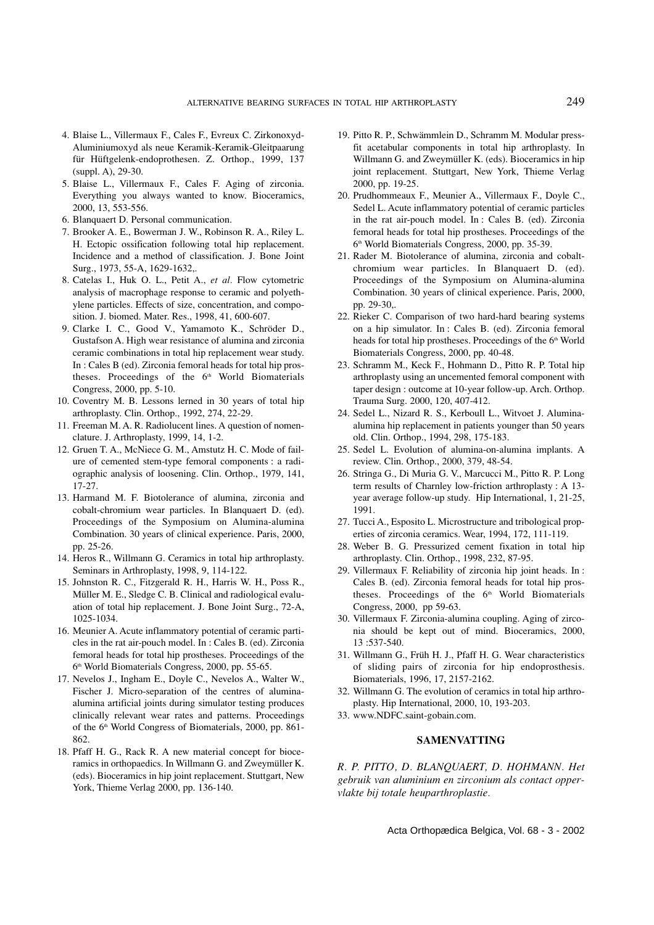- 4. Blaise L., Villermaux F., Cales F., Evreux C. Zirkonoxyd-Aluminiumoxyd als neue Keramik-Keramik-Gleitpaarung für Hüftgelenk-endoprothesen. Z. Orthop., 1999, 137 (suppl. A), 29-30.
- 5. Blaise L., Villermaux F., Cales F. Aging of zirconia. Everything you always wanted to know. Bioceramics, 2000, 13, 553-556.
- 6. Blanquaert D. Personal communication.
- 7. Brooker A. E., Bowerman J. W., Robinson R. A., Riley L. H. Ectopic ossification following total hip replacement. Incidence and a method of classification. J. Bone Joint Surg., 1973, 55-A, 1629-1632,.
- 8. Catelas I., Huk O. L., Petit A., *et al.* Flow cytometric analysis of macrophage response to ceramic and polyethylene particles. Effects of size, concentration, and composition. J. biomed. Mater. Res., 1998, 41, 600-607.
- 9. Clarke I. C., Good V., Yamamoto K., Schröder D., Gustafson A. High wear resistance of alumina and zirconia ceramic combinations in total hip replacement wear study. In : Cales B (ed). Zirconia femoral heads for total hip prostheses. Proceedings of the 6<sup>th</sup> World Biomaterials Congress, 2000, pp. 5-10.
- 10. Coventry M. B. Lessons lerned in 30 years of total hip arthroplasty. Clin. Orthop., 1992, 274, 22-29.
- 11. Freeman M. A. R. Radiolucent lines. A question of nomenclature. J. Arthroplasty, 1999, 14, 1-2.
- 12. Gruen T. A., McNiece G. M., Amstutz H. C. Mode of failure of cemented stem-type femoral components : a radiographic analysis of loosening. Clin. Orthop., 1979, 141, 17-27.
- 13. Harmand M. F. Biotolerance of alumina, zirconia and cobalt-chromium wear particles. In Blanquaert D. (ed). Proceedings of the Symposium on Alumina-alumina Combination. 30 years of clinical experience. Paris, 2000, pp. 25-26.
- 14. Heros R., Willmann G. Ceramics in total hip arthroplasty. Seminars in Arthroplasty, 1998, 9, 114-122.
- 15. Johnston R. C., Fitzgerald R. H., Harris W. H., Poss R., Müller M. E., Sledge C. B. Clinical and radiological evaluation of total hip replacement. J. Bone Joint Surg., 72-A, 1025-1034.
- 16. Meunier A. Acute inflammatory potential of ceramic particles in the rat air-pouch model. In : Cales B. (ed). Zirconia femoral heads for total hip prostheses. Proceedings of the 6<sup>th</sup> World Biomaterials Congress, 2000, pp. 55-65.
- 17. Nevelos J., Ingham E., Doyle C., Nevelos A., Walter W., Fischer J. Micro-separation of the centres of aluminaalumina artificial joints during simulator testing produces clinically relevant wear rates and patterns. Proceedings of the 6<sup>th</sup> World Congress of Biomaterials, 2000, pp. 861-862.
- 18. Pfaff H. G., Rack R. A new material concept for bioceramics in orthopaedics. In Willmann G. and Zweymüller K. (eds). Bioceramics in hip joint replacement. Stuttgart, New York, Thieme Verlag 2000, pp. 136-140.
- 19. Pitto R. P., Schwämmlein D., Schramm M. Modular pressfit acetabular components in total hip arthroplasty. In Willmann G. and Zweymüller K. (eds). Bioceramics in hip joint replacement. Stuttgart, New York, Thieme Verlag 2000, pp. 19-25.
- 20. Prudhommeaux F., Meunier A., Villermaux F., Doyle C., Sedel L. Acute inflammatory potential of ceramic particles in the rat air-pouch model. In : Cales B. (ed). Zirconia femoral heads for total hip prostheses. Proceedings of the 6th World Biomaterials Congress, 2000, pp. 35-39.
- 21. Rader M. Biotolerance of alumina, zirconia and cobaltchromium wear particles. In Blanquaert D. (ed). Proceedings of the Symposium on Alumina-alumina Combination. 30 years of clinical experience. Paris, 2000, pp. 29-30,.
- 22. Rieker C. Comparison of two hard-hard bearing systems on a hip simulator. In : Cales B. (ed). Zirconia femoral heads for total hip prostheses. Proceedings of the 6<sup>th</sup> World Biomaterials Congress, 2000, pp. 40-48.
- 23. Schramm M., Keck F., Hohmann D., Pitto R. P. Total hip arthroplasty using an uncemented femoral component with taper design : outcome at 10-year follow-up. Arch. Orthop. Trauma Surg. 2000, 120, 407-412.
- 24. Sedel L., Nizard R. S., Kerboull L., Witvoet J. Aluminaalumina hip replacement in patients younger than 50 years old. Clin. Orthop., 1994, 298, 175-183.
- 25. Sedel L. Evolution of alumina-on-alumina implants. A review. Clin. Orthop., 2000, 379, 48-54.
- 26. Stringa G., Di Muria G. V., Marcucci M., Pitto R. P. Long term results of Charnley low-friction arthroplasty : A 13 year average follow-up study. Hip International, 1, 21-25, 1991.
- 27. Tucci A., Esposito L. Microstructure and tribological properties of zirconia ceramics. Wear, 1994, 172, 111-119.
- 28. Weber B. G. Pressurized cement fixation in total hip arthroplasty. Clin. Orthop., 1998, 232, 87-95.
- 29. Villermaux F. Reliability of zirconia hip joint heads. In : Cales B. (ed). Zirconia femoral heads for total hip prostheses. Proceedings of the  $6<sup>th</sup>$  World Biomaterials Congress, 2000, pp 59-63.
- 30. Villermaux F. Zirconia-alumina coupling. Aging of zirconia should be kept out of mind. Bioceramics, 2000, 13 :537-540.
- 31. Willmann G., Früh H. J., Pfaff H. G. Wear characteristics of sliding pairs of zirconia for hip endoprosthesis. Biomaterials, 1996, 17, 2157-2162.
- 32. Willmann G. The evolution of ceramics in total hip arthroplasty. Hip International, 2000, 10, 193-203.
- 33. www.NDFC.saint-gobain.com.

## **SAMENVATTING**

*R. P. PITTO, D. BLANQUAERT, D. HOHMANN. Het gebruik van aluminium en zirconium als contact oppervlakte bij totale heuparthroplastie.*

Acta Orthopædica Belgica, Vol. 68 - 3 - 2002